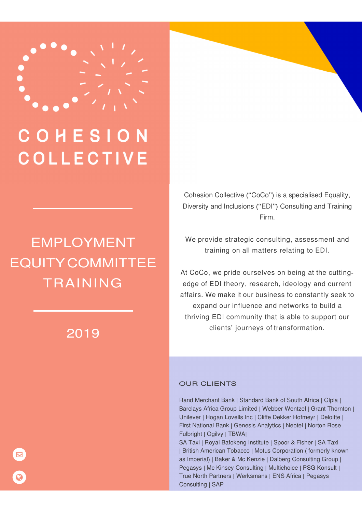

# COHESION **COLLECTIVE**

## EMPLOYMENT EQUITY COMMITTEE TRAINING

### 2019

Cohesion Collective ("CoCo") is a specialised Equality, Diversity and Inclusions ("EDI") Consulting and Training Firm.

We provide strategic consulting, assessment and training on all matters relating to EDI.

At CoCo, we pride ourselves on being at the cuttingedge of EDI theory, research, ideology and current affairs. We make it our business to constantly seek to expand our influence and networks to build a thriving EDI community that is able to support our clients' journeys of transformation.

#### OUR CLIENTS

Rand Merchant Bank | Standard Bank of South Africa | CIpla | Barclays Africa Group Limited | Webber Wentzel | Grant Thornton | Unilever | Hogan Lovells Inc | Cliffe Dekker Hofmeyr | Deloitte | First National Bank | Genesis Analytics | Neotel | Norton Rose Fulbright | Ogilvy | TBWA|

SA Taxi | Royal Bafokeng Institute | Spoor & Fisher | SA Taxi | British American Tobacco | Motus Corporation ( formerly known as Imperial) | Baker & Mc Kenzie | Dalberg Consulting Group | Pegasys | Mc Kinsey Consulting | Multichoice | PSG Konsult | True North Partners | Werksmans | ENS Africa | Pegasys Consulting | SAP